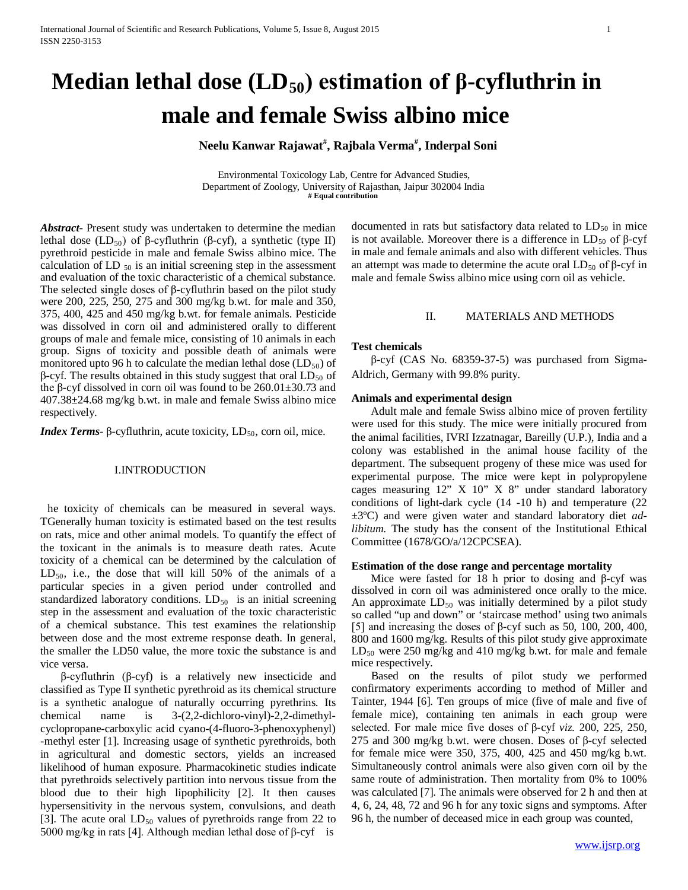# **Median lethal dose (LD<sub>50</sub>) estimation of β-cyfluthrin in male and female Swiss albino mice**

**Neelu Kanwar Rajawat# , Rajbala Verma# , Inderpal Soni**

Environmental Toxicology Lab, Centre for Advanced Studies, Department of Zoology, University of Rajasthan, Jaipur 302004 India  **# Equal contribution**

*Abstract***-** Present study was undertaken to determine the median lethal dose (LD<sub>50</sub>) of β-cyfluthrin (β-cyf), a synthetic (type II) pyrethroid pesticide in male and female Swiss albino mice. The calculation of LD  $_{50}$  is an initial screening step in the assessment and evaluation of the toxic characteristic of a chemical substance. The selected single doses of β-cyfluthrin based on the pilot study were 200, 225, 250, 275 and 300 mg/kg b.wt. for male and 350, 375, 400, 425 and 450 mg/kg b.wt. for female animals. Pesticide was dissolved in corn oil and administered orally to different groups of male and female mice, consisting of 10 animals in each group. Signs of toxicity and possible death of animals were monitored upto 96 h to calculate the median lethal dose  $(LD_{50})$  of β-cyf. The results obtained in this study suggest that oral  $LD_{50}$  of the β-cyf dissolved in corn oil was found to be 260.01±30.73 and 407.38±24.68 mg/kg b.wt. in male and female Swiss albino mice respectively.

*Index Terms*- $\beta$ -cyfluthrin, acute toxicity,  $LD_{50}$ , corn oil, mice.

# I.INTRODUCTION

he toxicity of chemicals can be measured in several ways. Generally human toxicity is estimated based on the test results Ton rats, mice and other animal models. To quantify the effect of the toxicant in the animals is to measure death rates. Acute toxicity of a chemical can be determined by the calculation of  $LD_{50}$ , i.e., the dose that will kill 50% of the animals of a particular species in a given period under controlled and standardized laboratory conditions.  $LD_{50}$  is an initial screening step in the assessment and evaluation of the toxic characteristic of a chemical substance. This test examines the relationship between dose and the most extreme response death. In general, the smaller the LD50 value, the more toxic the substance is and vice versa.

β-cyfluthrin (β-cyf) is a relatively new insecticide and classified as Type II synthetic pyrethroid as its chemical structure is a synthetic analogue of naturally occurring pyrethrins. Its chemical name is 3-(2,2-dichloro-vinyl)-2,2-dimethylcyclopropane-carboxylic acid cyano-(4-fluoro-3-phenoxyphenyl) -methyl ester [1]. Increasing usage of synthetic pyrethroids, both in agricultural and domestic sectors, yields an increased likelihood of human exposure. Pharmacokinetic studies indicate that pyrethroids selectively partition into nervous tissue from the blood due to their high lipophilicity [2]. It then causes hypersensitivity in the nervous system, convulsions, and death [3]. The acute oral  $LD_{50}$  values of pyrethroids range from 22 to 5000 mg/kg in rats [4]. Although median lethal dose of β-cyf is

documented in rats but satisfactory data related to  $LD_{50}$  in mice is not available. Moreover there is a difference in  $LD_{50}$  of β-cyf in male and female animals and also with different vehicles. Thus an attempt was made to determine the acute oral  $LD_{50}$  of β-cyf in male and female Swiss albino mice using corn oil as vehicle.

#### II. MATERIALS AND METHODS

#### **Test chemicals**

β-cyf (CAS No. 68359-37-5) was purchased from Sigma-Aldrich, Germany with 99.8% purity.

# **Animals and experimental design**

Adult male and female Swiss albino mice of proven fertility were used for this study. The mice were initially procured from the animal facilities, IVRI Izzatnagar, Bareilly (U.P.), India and a colony was established in the animal house facility of the department. The subsequent progeny of these mice was used for experimental purpose. The mice were kept in polypropylene cages measuring 12" X 10" X 8" under standard laboratory conditions of light-dark cycle (14 -10 h) and temperature (22 ±3ºC) and were given water and standard laboratory diet *adlibitum*. The study has the consent of the Institutional Ethical Committee (1678/GO/a/12CPCSEA).

# **Estimation of the dose range and percentage mortality**

Mice were fasted for 18 h prior to dosing and β-cyf was dissolved in corn oil was administered once orally to the mice. An approximate  $LD_{50}$  was initially determined by a pilot study so called "up and down" or 'staircase method' using two animals [5] and increasing the doses of β-cyf such as 50, 100, 200, 400, 800 and 1600 mg/kg. Results of this pilot study give approximate  $LD_{50}$  were 250 mg/kg and 410 mg/kg b.wt. for male and female mice respectively.

Based on the results of pilot study we performed confirmatory experiments according to method of Miller and Tainter, 1944 [6]. Ten groups of mice (five of male and five of female mice), containing ten animals in each group were selected. For male mice five doses of β-cyf *viz.* 200, 225, 250, 275 and 300 mg/kg b.wt. were chosen. Doses of β-cyf selected for female mice were 350, 375, 400, 425 and 450 mg/kg b.wt. Simultaneously control animals were also given corn oil by the same route of administration. Then mortality from 0% to 100% was calculated [7]. The animals were observed for 2 h and then at 4, 6, 24, 48, 72 and 96 h for any toxic signs and symptoms. After 96 h, the number of deceased mice in each group was counted,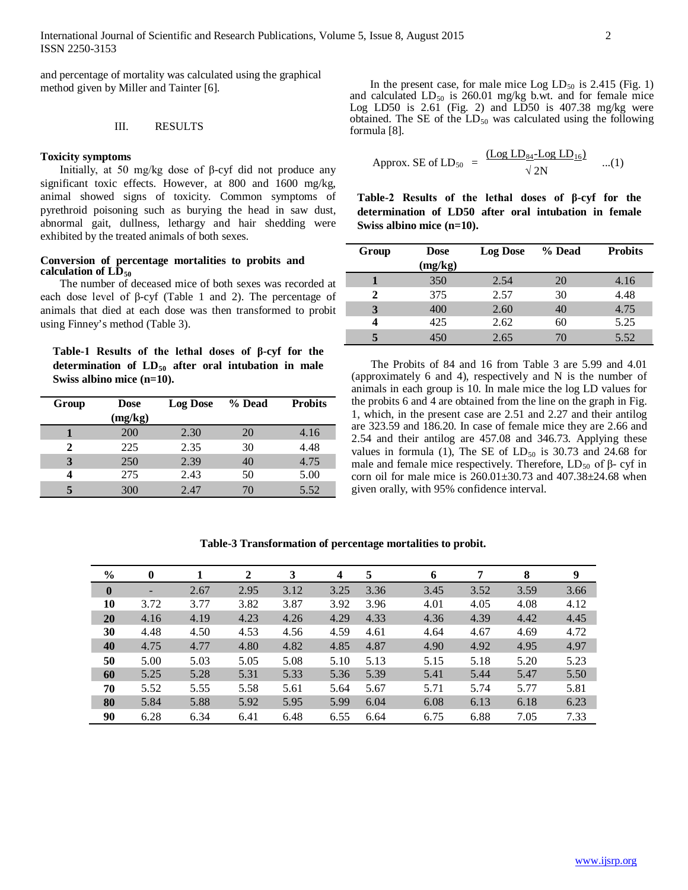and percentage of mortality was calculated using the graphical method given by Miller and Tainter [6].

#### III. RESULTS

# **Toxicity symptoms**

Initially, at 50 mg/kg dose of β-cyf did not produce any significant toxic effects. However, at 800 and 1600 mg/kg, animal showed signs of toxicity. Common symptoms of pyrethroid poisoning such as burying the head in saw dust, abnormal gait, dullness, lethargy and hair shedding were exhibited by the treated animals of both sexes.

# **Conversion of percentage mortalities to probits and** calculation of  $\overline{LD}_{50}$

The number of deceased mice of both sexes was recorded at each dose level of β-cyf (Table 1 and 2). The percentage of animals that died at each dose was then transformed to probit using Finney's method (Table 3).

**Table-1 Results of the lethal doses of β-cyf for the**  determination of  $LD_{50}$  after oral intubation in male **Swiss albino mice (n=10).**

| Group | Dose    | <b>Log Dose</b> | % Dead | <b>Probits</b> |  |
|-------|---------|-----------------|--------|----------------|--|
|       | (mg/kg) |                 |        |                |  |
|       | 200     | 2.30            | 20     | 4.16           |  |
| 2     | 225     | 2.35            | 30     | 4.48           |  |
| 3     | 250     | 2.39            | 40     | 4.75           |  |
|       | 275     | 2.43            | 50     | 5.00           |  |
|       | 300     | 2.47            | 70     | 5.52           |  |

In the present case, for male mice  $Log LD_{50}$  is 2.415 (Fig. 1) and calculated  $LD_{50}$  is 260.01 mg/kg b.wt. and for female mice Log LD50 is 2.61 (Fig. 2) and LD50 is 407.38 mg/kg were obtained. The SE of the  $LD_{50}$  was calculated using the following formula [8].

$$
Approx. SE of LD50 = \frac{(Log LD84-Log LD16)}{\sqrt{2N}} \quad ...(1)
$$

**Table-2 Results of the lethal doses of β-cyf for the determination of LD50 after oral intubation in female Swiss albino mice (n=10).**

| Group | <b>Dose</b> | <b>Log Dose</b> | % Dead | <b>Probits</b> |  |
|-------|-------------|-----------------|--------|----------------|--|
|       | (mg/kg)     |                 |        |                |  |
|       | 350         | 2.54            | 20     | 4.16           |  |
| 2     | 375         | 2.57            | 30     | 4.48           |  |
| 3     | 400         | 2.60            | 40     | 4.75           |  |
| 4     | 425         | 2.62            | 60     | 5.25           |  |
| 5     | 450         | 2.65            | 70     | 5.52           |  |

The Probits of 84 and 16 from Table 3 are 5.99 and 4.01 (approximately 6 and 4), respectively and N is the number of animals in each group is 10. In male mice the log LD values for the probits 6 and 4 are obtained from the line on the graph in Fig. 1, which, in the present case are 2.51 and 2.27 and their antilog are 323.59 and 186.20. In case of female mice they are 2.66 and 2.54 and their antilog are 457.08 and 346.73. Applying these values in formula (1), The SE of  $LD_{50}$  is 30.73 and 24.68 for male and female mice respectively. Therefore,  $LD_{50}$  of  $\beta$ - cyf in corn oil for male mice is  $260.01 \pm 30.73$  and  $407.38 \pm 24.68$  when given orally, with 95% confidence interval.

| $\bf{0}$                 |      | $\mathbf{2}$ | 3    | $\boldsymbol{4}$ | 5    | 6    | 7    | 8    | 9    |
|--------------------------|------|--------------|------|------------------|------|------|------|------|------|
| $\overline{\phantom{a}}$ | 2.67 | 2.95         | 3.12 | 3.25             | 3.36 | 3.45 | 3.52 | 3.59 | 3.66 |
| 3.72                     | 3.77 | 3.82         | 3.87 | 3.92             | 3.96 | 4.01 | 4.05 | 4.08 | 4.12 |
| 4.16                     | 4.19 | 4.23         | 4.26 | 4.29             | 4.33 | 4.36 | 4.39 | 4.42 | 4.45 |
| 4.48                     | 4.50 | 4.53         | 4.56 | 4.59             | 4.61 | 4.64 | 4.67 | 4.69 | 4.72 |
| 4.75                     | 4.77 | 4.80         | 4.82 | 4.85             | 4.87 | 4.90 | 4.92 | 4.95 | 4.97 |
| 5.00                     | 5.03 | 5.05         | 5.08 | 5.10             | 5.13 | 5.15 | 5.18 | 5.20 | 5.23 |
| 5.25                     | 5.28 | 5.31         | 5.33 | 5.36             | 5.39 | 5.41 | 5.44 | 5.47 | 5.50 |
| 5.52                     | 5.55 | 5.58         | 5.61 | 5.64             | 5.67 | 5.71 | 5.74 | 5.77 | 5.81 |
| 5.84                     | 5.88 | 5.92         | 5.95 | 5.99             | 6.04 | 6.08 | 6.13 | 6.18 | 6.23 |
| 6.28                     | 6.34 | 6.41         | 6.48 | 6.55             | 6.64 | 6.75 | 6.88 | 7.05 | 7.33 |
|                          |      |              |      |                  |      |      |      |      |      |

# **Table-3 Transformation of percentage mortalities to probit.**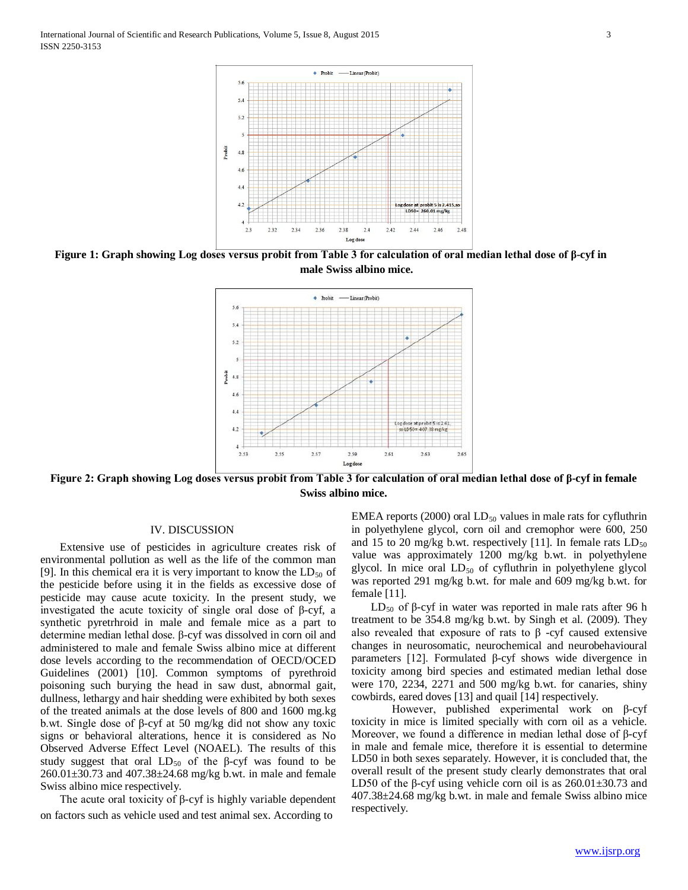

**Figure 1: Graph showing Log doses versus probit from Table 3 for calculation of oral median lethal dose of β-cyf in male Swiss albino mice.**



**Figure 2: Graph showing Log doses versus probit from Table 3 for calculation of oral median lethal dose of β-cyf in female Swiss albino mice.**

### IV. DISCUSSION

Extensive use of pesticides in agriculture creates risk of environmental pollution as well as the life of the common man [9]. In this chemical era it is very important to know the  $LD_{50}$  of the pesticide before using it in the fields as excessive dose of pesticide may cause acute toxicity. In the present study, we investigated the acute toxicity of single oral dose of β-cyf, a synthetic pyretrhroid in male and female mice as a part to determine median lethal dose. β-cyf was dissolved in corn oil and administered to male and female Swiss albino mice at different dose levels according to the recommendation of OECD/OCED Guidelines (2001) [10]. Common symptoms of pyrethroid poisoning such burying the head in saw dust, abnormal gait, dullness, lethargy and hair shedding were exhibited by both sexes of the treated animals at the dose levels of 800 and 1600 mg.kg b.wt. Single dose of β-cyf at 50 mg/kg did not show any toxic signs or behavioral alterations, hence it is considered as No Observed Adverse Effect Level (NOAEL). The results of this study suggest that oral  $LD_{50}$  of the β-cyf was found to be 260.01±30.73 and 407.38±24.68 mg/kg b.wt. in male and female Swiss albino mice respectively.

The acute oral toxicity of  $\beta$ -cyf is highly variable dependent on factors such as vehicle used and test animal sex. According to

EMEA reports (2000) oral  $LD_{50}$  values in male rats for cyfluthrin in polyethylene glycol, corn oil and cremophor were 600, 250 and 15 to 20 mg/kg b.wt. respectively [11]. In female rats  $LD_{50}$ value was approximately 1200 mg/kg b.wt. in polyethylene glycol. In mice oral  $LD_{50}$  of cyfluthrin in polyethylene glycol was reported 291 mg/kg b.wt. for male and 609 mg/kg b.wt. for female [11].

LD<sub>50</sub> of β-cyf in water was reported in male rats after 96 h treatment to be 354.8 mg/kg b.wt. by Singh et al. (2009). They also revealed that exposure of rats to  $β$  -cyf caused extensive changes in neurosomatic, neurochemical and neurobehavioural parameters [12]. Formulated β-cyf shows wide divergence in toxicity among bird species and estimated median lethal dose were 170, 2234, 2271 and 500 mg/kg b.wt. for canaries, shiny cowbirds, eared doves [13] and quail [14] respectively.

However, published experimental work on β-cyf toxicity in mice is limited specially with corn oil as a vehicle. Moreover, we found a difference in median lethal dose of β-cyf in male and female mice, therefore it is essential to determine LD50 in both sexes separately. However, it is concluded that, the overall result of the present study clearly demonstrates that oral LD50 of the  $\beta$ -cyf using vehicle corn oil is as  $260.01\pm30.73$  and 407.38±24.68 mg/kg b.wt. in male and female Swiss albino mice respectively.